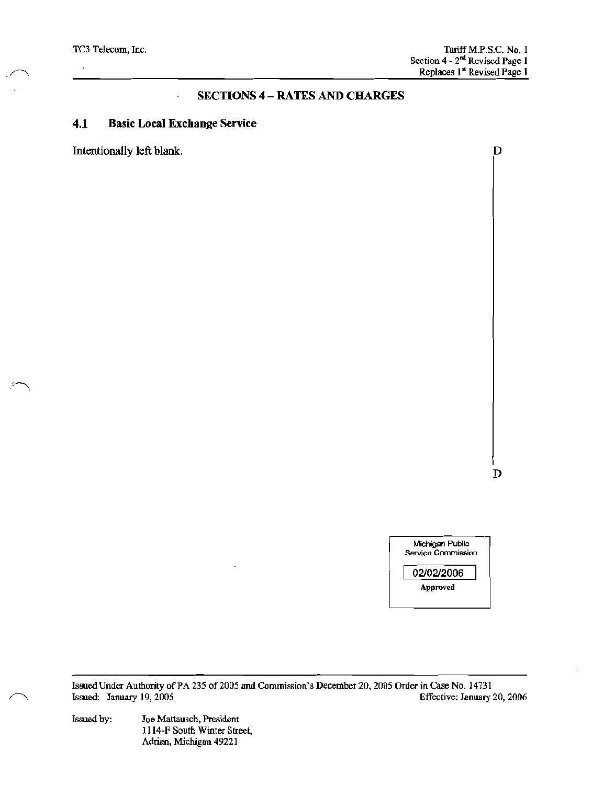TC3 Telecom, Inc.

D

# **SECTIONS 4 - RATES AND CHARGES**

### $4.1$ **Basic Local Exchange Service**

Intentionally left blank.

D



Issued Under Authority of PA 235 of 2005 and Commission's December 20, 2005 Order in Case No. 14731 Issued: January 19, 2005 Effective: January 20, 2006

Issued by: Joe Mattausch, President 1114-F South Winter Street, Adrian, Michigan 49221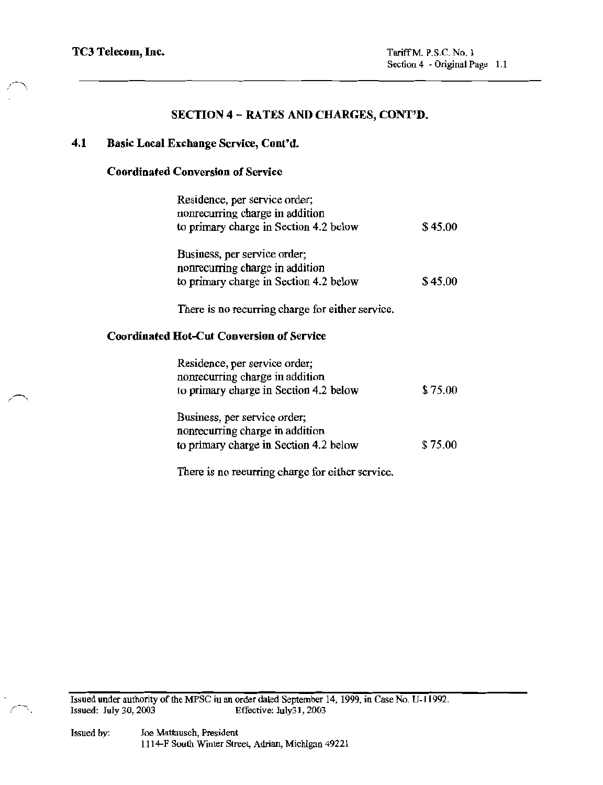### $4.1$ Basic Local Exchange Service, Cont'd.

## **Coordinated Conversion of Service**

| Residence, per service order;<br>nonrecurring charge in addition<br>to primary charge in Section 4.2 below | \$45.00 |  |
|------------------------------------------------------------------------------------------------------------|---------|--|
| Business, per service order;<br>nonrecurring charge in addition<br>to primary charge in Section 4.2 below  | \$45.00 |  |
| There is no recurring charge for either service.                                                           |         |  |
| <b>Coordinated Hot-Cut Conversion of Service</b>                                                           |         |  |

| \$75.00 |
|---------|
|         |
|         |
|         |
| \$75.00 |
|         |

There is no recurring charge for either service.

Issued under authority of the MPSC iu an order dated September 14, 1999, in Case No. U-11992. Issued: July 30, 2003 Effective: July31, 2003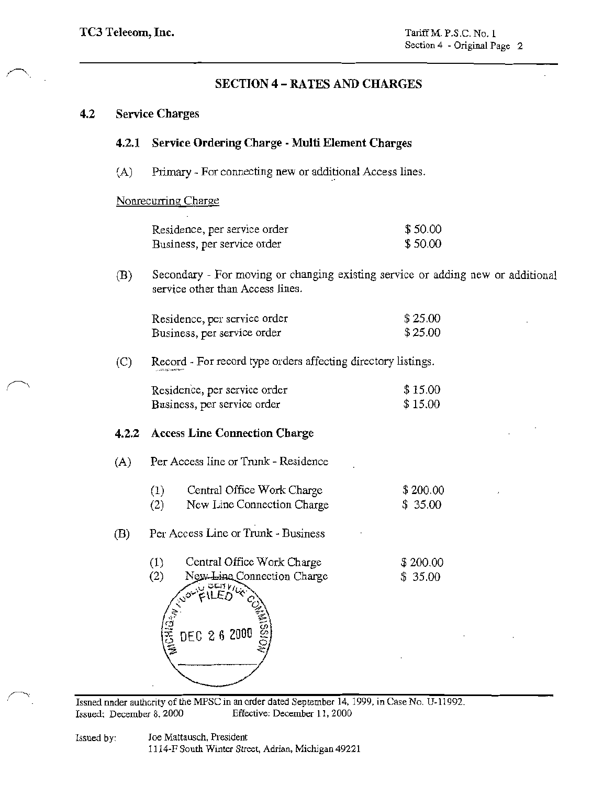# **SECTION 4 - RATES AND CHARGES**

### $4.2$ **Service Charges**

### Service Ordering Charge - Multi Element Charges  $4.2.1$

 $(A)$ Primary - For connecting new or additional Access lines.

## Nonrecurring Charge

| Residence, per service order | \$50.00 |
|------------------------------|---------|
| Business, per service order  | \$50.00 |

Secondary - For moving or changing existing service or adding new or additional  $(B)$ service other than Access lines.

| Residence, per service order | \$25.00 |
|------------------------------|---------|
| Business, per service order  | \$25.00 |

Record - For record type orders affecting directory listings.  $(C)$ 

| Residence, per service order | \$15.00 |
|------------------------------|---------|
| Business, per service order  | \$15.00 |

## 4.2.2 Access Line Connection Charge

- Per Access line or Trunk Residence  $(A)$ 
	- $(1)$ Central Office Work Charge  $$200.00$ New Line Connection Charge  $(2)$  $$35.00$
- Per Access Line or Trunk Business (B)
	- $(1)$ Central Office Work Charge \$200.00  $(2)$ New-Line Connection Charge  $$35.00$ DEC 26 2000

Issned nnder authority of the MPSC in an order dated September 14, 1999, in Case No. U-11992. Issued: December 8, 2000 Effective: December 11, 2000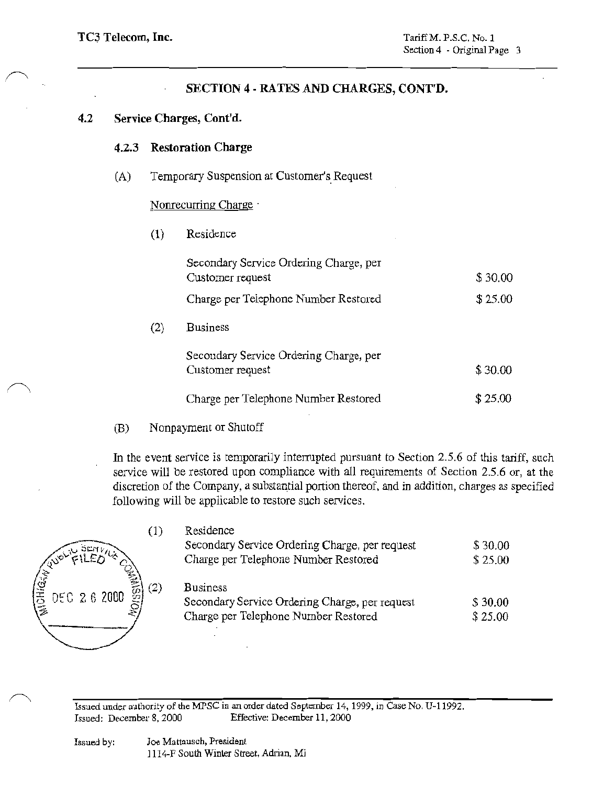### $4.2$ Service Charges, Cont'd.

 $(2)$ 

### $4.2.3$ **Restoration Charge**

 $(A)$ Temporary Suspension at Customer's Request

## Nonrecurring Charge

 $(1)$ Residence

| Secondary Service Ordering Charge, per<br>Customer request | \$30.00 |
|------------------------------------------------------------|---------|
| Charge per Telephone Number Restored                       | \$25.00 |
| Business                                                   |         |
| Secondary Service Ordering Charge, per<br>Customer request | \$30.00 |
| Charge per Telephone Number Restored                       | \$25.00 |

Nonpayment or Shutoff (B)

In the event service is temporarily interrupted pursuant to Section 2.5.6 of this tariff, such service will be restored upon compliance with all requirements of Section 2.5.6 or, at the discretion of the Company, a substantial portion thereof, and in addition, charges as specified following will be applicable to restore such services.

| $\left( 1\right)$                                 | Residence                                      |         |
|---------------------------------------------------|------------------------------------------------|---------|
| DEN 27                                            | Secondary Service Ordering Charge, per request | \$30.00 |
|                                                   | Charge per Telephone Number Restored           | \$25.00 |
| (2)<br>$\frac{12}{3}$ DEC 2 6 2000 $\frac{20}{3}$ | <b>Business</b>                                | \$30.00 |
|                                                   | Secondary Service Ordering Charge, per request |         |
|                                                   | Charge per Telephone Number Restored           | \$25.00 |

Issued under authority of the MPSC in an order dated September 14, 1999, in Case No. U-11992. Issued: December 8, 2000 Effective: December 11, 2000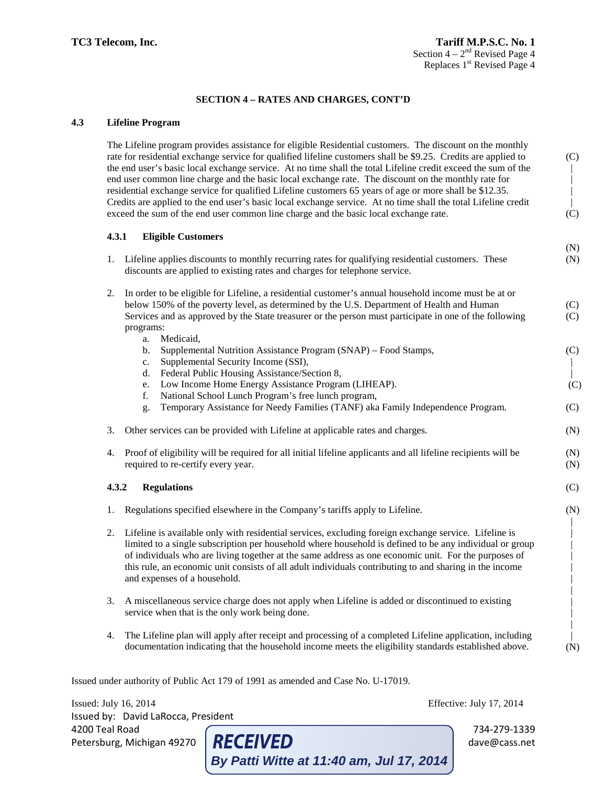(N)

(C)

 $(C)$ 

(N)

(C)

(N) | | | | | | | | | | | (N)

## **SECTION 4 – RATES AND CHARGES, CONT'D**

### **4.3 Lifeline Program**

The Lifeline program provides assistance for eligible Residential customers. The discount on the monthly rate for residential exchange service for qualified lifeline customers shall be \$9.25. Credits are applied to the end user's basic local exchange service. At no time shall the total Lifeline credit exceed the sum of the end user common line charge and the basic local exchange rate. The discount on the monthly rate for residential exchange service for qualified Lifeline customers 65 years of age or more shall be \$12.35. Credits are applied to the end user's basic local exchange service. At no time shall the total Lifeline credit exceed the sum of the end user common line charge and the basic local exchange rate. (C) | | | | (C)

### **4.3.1 Eligible Customers**

| 1. Lifeline applies discounts to monthly recurring rates for qualifying residential customers. These | (N) |
|------------------------------------------------------------------------------------------------------|-----|
| discounts are applied to existing rates and charges for telephone service.                           |     |

| 2. In order to be eligible for Lifeline, a residential customer's annual household income must be at or |     |
|---------------------------------------------------------------------------------------------------------|-----|
| below 150% of the poverty level, as determined by the U.S. Department of Health and Human               | (C) |
| Services and as approved by the State treasurer or the person must participate in one of the following  | (C) |
| programs:                                                                                               |     |
| a. Medicaid.                                                                                            |     |

| b. Supplemental Nutrition Assistance Program (SNAP) – Food Stamps, | (C) |
|--------------------------------------------------------------------|-----|
| c. Supplemental Security Income (SSI),                             |     |
| d. Federal Public Housing Assistance/Section 8,                    |     |

- d. Federal Public Housing Assistance/Section 8, e. Low Income Home Energy Assistance Program (LIHEAP).
	- f. National School Lunch Program's free lunch program,
	- g. Temporary Assistance for Needy Families (TANF) aka Family Independence Program.
- 3. Other services can be provided with Lifeline at applicable rates and charges.
- 4. Proof of eligibility will be required for all initial lifeline applicants and all lifeline recipients will be required to re-certify every year. (N) (N)

### **4.3.2 Regulations**

- 1. Regulations specified elsewhere in the Company's tariffs apply to Lifeline.
- 2. Lifeline is available only with residential services, excluding foreign exchange service. Lifeline is limited to a single subscription per household where household is defined to be any individual or group of individuals who are living together at the same address as one economic unit. For the purposes of this rule, an economic unit consists of all adult individuals contributing to and sharing in the income and expenses of a household.
- 3. A miscellaneous service charge does not apply when Lifeline is added or discontinued to existing service when that is the only work being done.
- 4. The Lifeline plan will apply after receipt and processing of a completed Lifeline application, including documentation indicating that the household income meets the eligibility standards established above.

**By Patti Witte at 11:40 am, Jul 17, 2014**

Issued under authority of Public Act 179 of 1991 as amended and Case No. U-17019.

Issued: July 16, 2014 Effective: July 17, 2014 Issued by: David LaRocca, President 4200 Teal Road Teal Road and Reform the CEIVED of the Material State of the Material State of the Material State Oceans.net Petersburg, Michigan 49270 **RECEIVED** dave@cass.net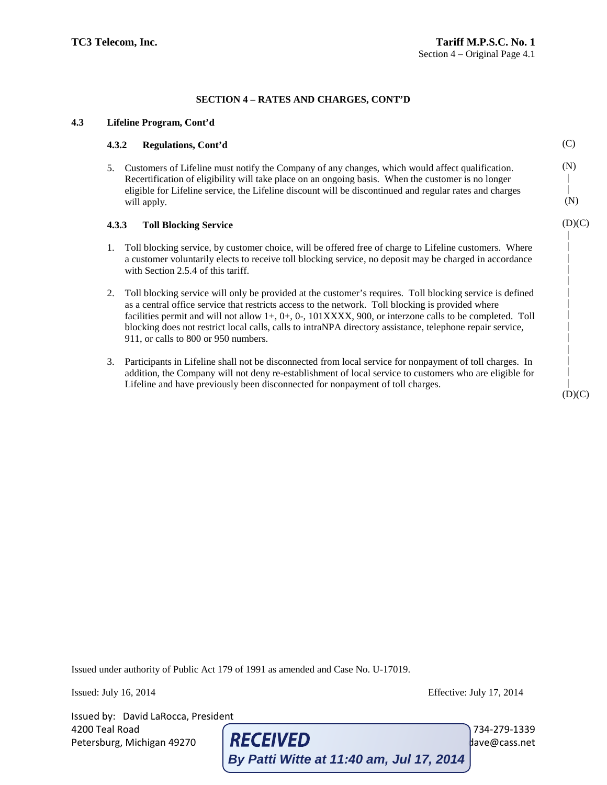## **4.3 Lifeline Program, Cont'd**

# **4.3.2 Regulations, Cont'd** 5. Customers of Lifeline must notify the Company of any changes, which would affect qualification. Recertification of eligibility will take place on an ongoing basis. When the customer is no longer eligible for Lifeline service, the Lifeline discount will be discontinued and regular rates and charges will apply.

### **4.3.3 Toll Blocking Service**

- 1. Toll blocking service, by customer choice, will be offered free of charge to Lifeline customers. Where a customer voluntarily elects to receive toll blocking service, no deposit may be charged in accordance with Section 2.5.4 of this tariff.
- 2. Toll blocking service will only be provided at the customer's requires. Toll blocking service is defined as a central office service that restricts access to the network. Toll blocking is provided where facilities permit and will not allow 1+, 0+, 0-, 101XXXX, 900, or interzone calls to be completed. Toll blocking does not restrict local calls, calls to intraNPA directory assistance, telephone repair service, 911, or calls to 800 or 950 numbers.
- 3. Participants in Lifeline shall not be disconnected from local service for nonpayment of toll charges. In addition, the Company will not deny re-establishment of local service to customers who are eligible for Lifeline and have previously been disconnected for nonpayment of toll charges.

Issued under authority of Public Act 179 of 1991 as amended and Case No. U-17019.

Issued: July 16, 2014 Effective: July 17, 2014

Issued by: David LaRocca, President

4200 Teal Road<br>
Petersburg, Michigan 49270 **RECEIVED** Petersburg, Michigan 49270 **RECEIVED** dave@cass.net **By Patti Witte at 11:40 am, Jul 17, 2014**

 $(D)(C)$ 

 $(C)$ 

(N) | | (N)

 $(D)(C)$  | | | | | | | | | | | | | |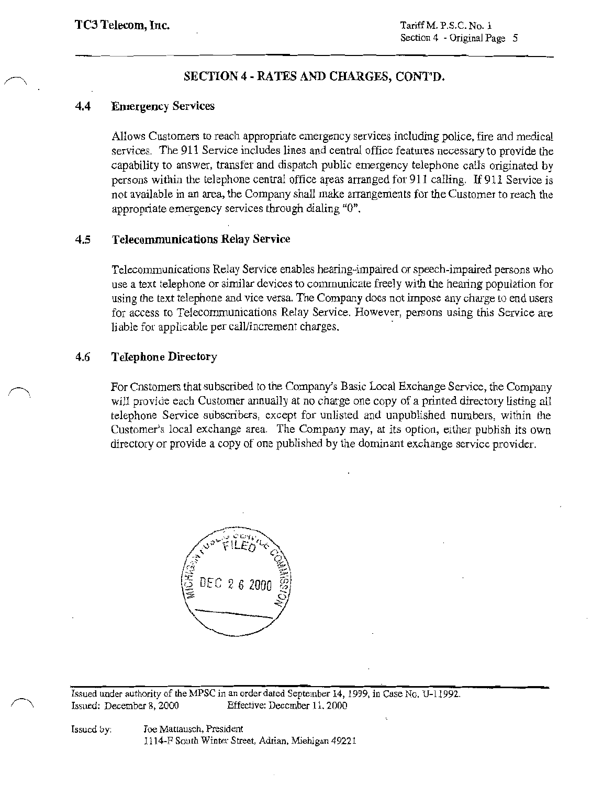### $4.4$ **Emergency Services**

Allows Customers to reach appropriate emergency services including police, fire and medical services. The 911 Service includes lines and central office features necessary to provide the capability to answer, transfer and dispatch public emergency telephone calls originated by persons within the telephone central office areas arranged for 911 calling. If 911 Service is not available in an area, the Company shall make arrangements for the Customer to reach the appropriate emergency services through dialing "0".

### $4.5$ **Telecommunications Relay Service**

Telecommunications Relay Service enables hearing-impaired or speech-impaired persons who use a text telephone or similar devices to communicate freely with the hearing population for using the text telephone and vice versa. The Company does not impose any charge to end users for access to Telecommunications Relay Service. However, persons using this Service are liable for applicable per call/increment charges.

### 4.6 **Telephone Directory**

For Constomers that subscribed to the Company's Basic Local Exchange Service, the Company will provide each Customer annually at no charge one copy of a printed directory listing all telephone Service subscribers, except for unlisted and unpublished numbers, within the Customer's local exchange area. The Company may, at its option, either publish its own directory or provide a copy of one published by the dominant exchange service provider.



Issued under authority of the MPSC in an order dated September 14, 1999, in Case No. U-11992. Issued: December 8, 2000 Effective: December 11, 2000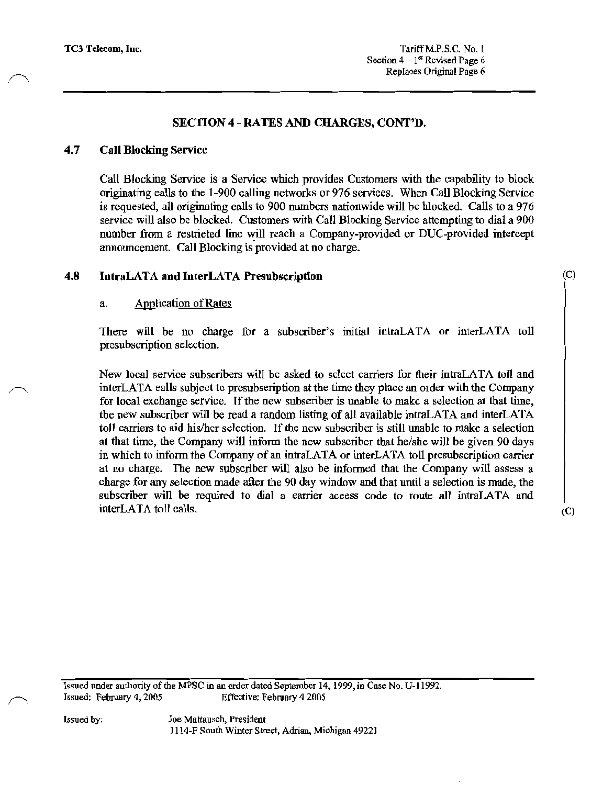#### 4.7 **Call Blocking Service**

Call Blocking Service is a Service which provides Customers with the capability to block originating ealls to the 1-900 calling networks or 976 services. When Call Blocking Service is requested, all originating calls to 900 numbers nationwide will be hlocked. Calls to a 976 service will also be blocked. Customers with Call Blocking Service attempting to dial a 900 number from a restricted line will reach a Company-provided or DUC-provided intercept announcement. Call Blocking is provided at no charge.

### 4.8 IntraLATA and InterLATA Presubscription

#### a. **Application of Rates**

There will be no charge for a subscriber's initial intraLATA or interLATA toll presubscription selection.

New local service subscribers will be asked to select carriers for their intraLATA toll and interLATA ealls subject to presubseription at the time they place an order with the Company for local exchange service. If the new subseriber is unable to make a selection at that time, the new subscriber will be read a random listing of all available intraLATA and interLATA toll carriers to aid his/her selection. If the new subscriber is still unable to make a selection at that time, the Company will inform the new subscriber that he/she will be given 90 days in which to inform the Company of an intraLATA or interLATA toll presubscription carrier at no charge. The new subscriber will also be informed that the Company will assess a charge for any selection made after the 90 day window and that until a selection is made, the subscriber will be required to dial a earrier access code to route all intraLATA and interLATA toll calls.

Issued under authority of the MPSC in an order dated September 14, 1999, in Case No. U-11992. Issued: February 4, 2005 Effective: February 4 2005

 $(C)$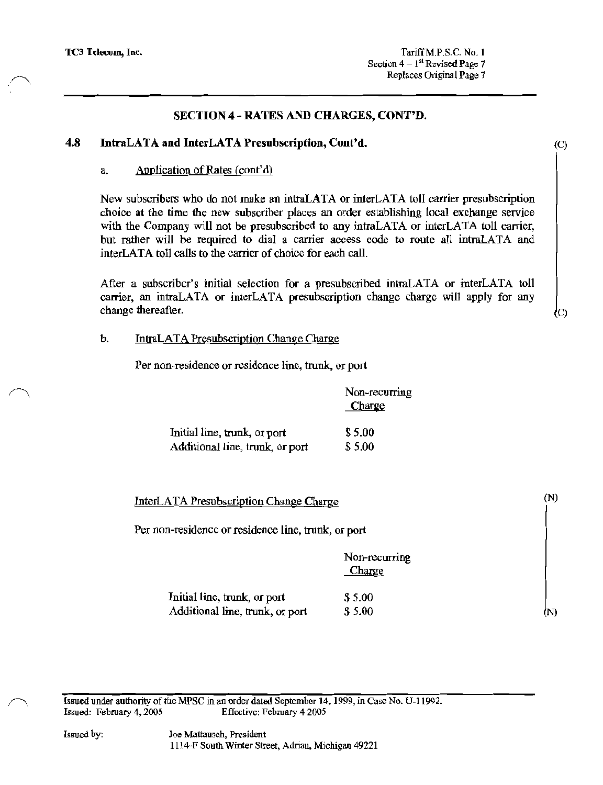#### 4.8 IntraLATA and InterLATA Presubscription, Cont'd.

### Application of Rates (cont'd)  $a_{\cdot}$

New subscribers who do not make an intraLATA or interLATA toll carrier presubscription choice at the time the new subscriber places an order establishing local exchange service with the Company will not be presubscribed to any intraLATA or interLATA toll earrier, but rather will be required to dial a carrier access code to route all intraLATA and interLATA toll calls to the carrier of choice for each call.

After a subscriber's initial selection for a presubscribed intraLATA or interLATA toll carrier, an intraLATA or interLATA presubscription change charge will apply for any change thereafter.

#### $\mathbf{h}$ . **IntraLATA Presubscription Change Charge**

Per non-residence or residence line, trunk, or port

|                                 | Non-recurring<br>Charge |
|---------------------------------|-------------------------|
| Initial line, trunk, or port    | \$5.00                  |
| Additional line, trunk, or port | \$5.00                  |

InterLATA Presubscription Change Charge

Per non-residence or residence line, trunk, or port

|                                 | Non-recurring<br>Charge |
|---------------------------------|-------------------------|
| Initial line, trunk, or port    | \$5.00                  |
| Additional line, trunk, or port | \$5.00                  |

Issued under authority of the MPSC in an order dated September 14, 1999, in Case No. U-11992. Effective: February 4 2005 Issued: February 4, 2005

Joe Mattausch, President 1114-F South Winter Street, Adrian, Michigan 49221  $(N)$ 

(N)

 $(C)$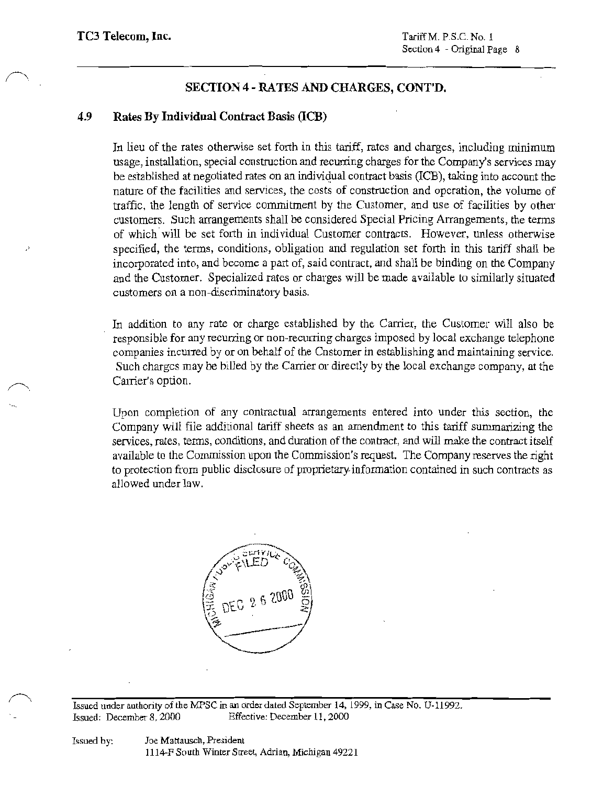### 4.9 Rates By Individual Contract Basis (ICB)

In lieu of the rates otherwise set forth in this tariff, rates and charges, including minimum usage, installation, special construction and recurring charges for the Company's services may be established at negotiated rates on an individual contract basis (ICB), taking into account the nature of the facilities and services, the costs of construction and operation, the volume of traffic, the length of service commitment by the Customer, and use of facilities by other customers. Such arrangements shall be considered Special Pricing Arrangements, the terms of which will be set forth in individual Customer contracts. However, unless otherwise specified, the terms, conditions, obligation and regulation set forth in this tariff shall be incorporated into, and become a part of, said contract, and shall be binding on the Company and the Customer. Specialized rates or charges will be made available to similarly situated customers on a non-discriminatory basis.

In addition to any rate or charge established by the Carrier, the Customer will also be responsible for any recurring or non-recurring charges imposed by local exchange telephone companies incurred by or on behalf of the Cnstomer in establishing and maintaining service. Such charges may be billed by the Carrier or directly by the local exchange company, at the Carrier's option.

Upon completion of any contractual arrangements entered into under this section, the Company will file additional tariff sheets as an amendment to this tariff summarizing the services, rates, terms, conditions, and duration of the contract, and will make the contract itself available to the Commission upon the Commission's request. The Company reserves the right to protection from public disclosure of proprietary information contained in such contracts as allowed under law.



Issued under authority of the MPSC in an order dated September 14, 1999, in Case No. U-11992. Issued: December 8, 2000 Effective: December 11, 2000

Joe Mattausch, President 1114-F South Winter Street, Adrian, Michigan 49221